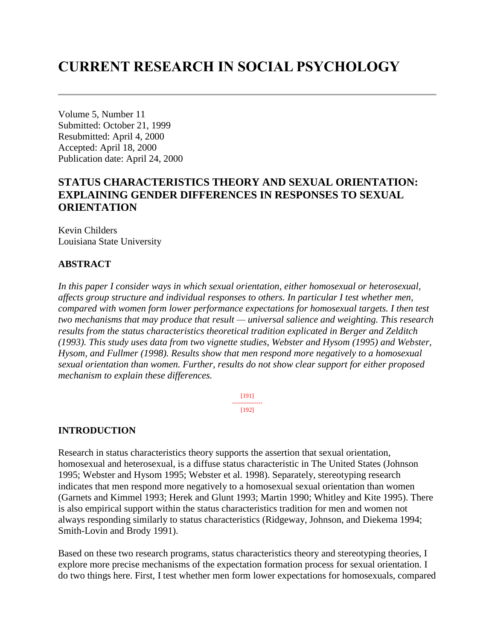# **CURRENT RESEARCH IN SOCIAL PSYCHOLOGY**

Volume 5, Number 11 Submitted: October 21, 1999 Resubmitted: April 4, 2000 Accepted: April 18, 2000 Publication date: April 24, 2000

## **STATUS CHARACTERISTICS THEORY AND SEXUAL ORIENTATION: EXPLAINING GENDER DIFFERENCES IN RESPONSES TO SEXUAL ORIENTATION**

Kevin Childers Louisiana State University

### **ABSTRACT**

*In this paper I consider ways in which sexual orientation, either homosexual or heterosexual, affects group structure and individual responses to others. In particular I test whether men, compared with women form lower performance expectations for homosexual targets. I then test two mechanisms that may produce that result — universal salience and weighting. This research results from the status characteristics theoretical tradition explicated in Berger and Zelditch (1993). This study uses data from two vignette studies, Webster and Hysom (1995) and Webster, Hysom, and Fullmer (1998). Results show that men respond more negatively to a homosexual sexual orientation than women. Further, results do not show clear support for either proposed mechanism to explain these differences.*

> [191] --------------- [192]

### **INTRODUCTION**

Research in status characteristics theory supports the assertion that sexual orientation, homosexual and heterosexual, is a diffuse status characteristic in The United States (Johnson 1995; Webster and Hysom 1995; Webster et al. 1998). Separately, stereotyping research indicates that men respond more negatively to a homosexual sexual orientation than women (Garnets and Kimmel 1993; Herek and Glunt 1993; Martin 1990; Whitley and Kite 1995). There is also empirical support within the status characteristics tradition for men and women not always responding similarly to status characteristics (Ridgeway, Johnson, and Diekema 1994; Smith-Lovin and Brody 1991).

Based on these two research programs, status characteristics theory and stereotyping theories, I explore more precise mechanisms of the expectation formation process for sexual orientation. I do two things here. First, I test whether men form lower expectations for homosexuals, compared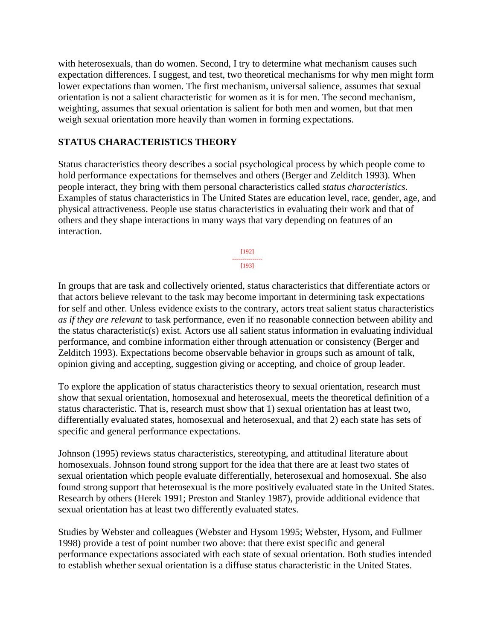with heterosexuals, than do women. Second, I try to determine what mechanism causes such expectation differences. I suggest, and test, two theoretical mechanisms for why men might form lower expectations than women. The first mechanism, universal salience, assumes that sexual orientation is not a salient characteristic for women as it is for men. The second mechanism, weighting, assumes that sexual orientation is salient for both men and women, but that men weigh sexual orientation more heavily than women in forming expectations.

### **STATUS CHARACTERISTICS THEORY**

Status characteristics theory describes a social psychological process by which people come to hold performance expectations for themselves and others (Berger and Zelditch 1993). When people interact, they bring with them personal characteristics called *status characteristics*. Examples of status characteristics in The United States are education level, race, gender, age, and physical attractiveness. People use status characteristics in evaluating their work and that of others and they shape interactions in many ways that vary depending on features of an interaction.

> [192] --------------- [193]

In groups that are task and collectively oriented, status characteristics that differentiate actors or that actors believe relevant to the task may become important in determining task expectations for self and other. Unless evidence exists to the contrary, actors treat salient status characteristics *as if they are relevant* to task performance, even if no reasonable connection between ability and the status characteristic(s) exist. Actors use all salient status information in evaluating individual performance, and combine information either through attenuation or consistency (Berger and Zelditch 1993). Expectations become observable behavior in groups such as amount of talk, opinion giving and accepting, suggestion giving or accepting, and choice of group leader.

To explore the application of status characteristics theory to sexual orientation, research must show that sexual orientation, homosexual and heterosexual, meets the theoretical definition of a status characteristic. That is, research must show that 1) sexual orientation has at least two, differentially evaluated states, homosexual and heterosexual, and that 2) each state has sets of specific and general performance expectations.

Johnson (1995) reviews status characteristics, stereotyping, and attitudinal literature about homosexuals. Johnson found strong support for the idea that there are at least two states of sexual orientation which people evaluate differentially, heterosexual and homosexual. She also found strong support that heterosexual is the more positively evaluated state in the United States. Research by others (Herek 1991; Preston and Stanley 1987), provide additional evidence that sexual orientation has at least two differently evaluated states.

Studies by Webster and colleagues (Webster and Hysom 1995; Webster, Hysom, and Fullmer 1998) provide a test of point number two above: that there exist specific and general performance expectations associated with each state of sexual orientation. Both studies intended to establish whether sexual orientation is a diffuse status characteristic in the United States.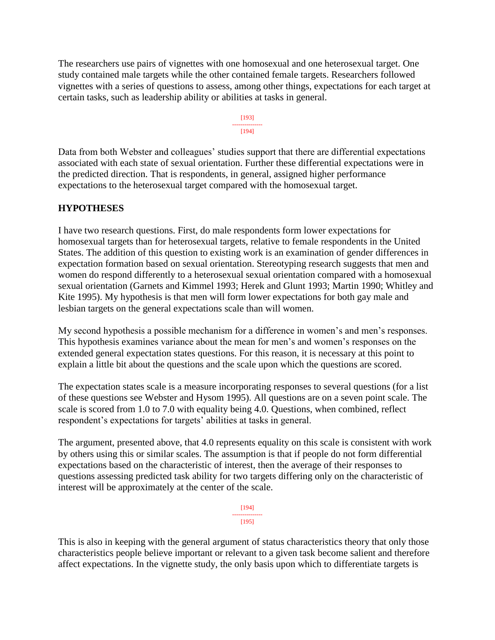The researchers use pairs of vignettes with one homosexual and one heterosexual target. One study contained male targets while the other contained female targets. Researchers followed vignettes with a series of questions to assess, among other things, expectations for each target at certain tasks, such as leadership ability or abilities at tasks in general.

#### [193] --------------- [194]

Data from both Webster and colleagues' studies support that there are differential expectations associated with each state of sexual orientation. Further these differential expectations were in the predicted direction. That is respondents, in general, assigned higher performance expectations to the heterosexual target compared with the homosexual target.

### **HYPOTHESES**

I have two research questions. First, do male respondents form lower expectations for homosexual targets than for heterosexual targets, relative to female respondents in the United States. The addition of this question to existing work is an examination of gender differences in expectation formation based on sexual orientation. Stereotyping research suggests that men and women do respond differently to a heterosexual sexual orientation compared with a homosexual sexual orientation (Garnets and Kimmel 1993; Herek and Glunt 1993; Martin 1990; Whitley and Kite 1995). My hypothesis is that men will form lower expectations for both gay male and lesbian targets on the general expectations scale than will women.

My second hypothesis a possible mechanism for a difference in women's and men's responses. This hypothesis examines variance about the mean for men's and women's responses on the extended general expectation states questions. For this reason, it is necessary at this point to explain a little bit about the questions and the scale upon which the questions are scored.

The expectation states scale is a measure incorporating responses to several questions (for a list of these questions see Webster and Hysom 1995). All questions are on a seven point scale. The scale is scored from 1.0 to 7.0 with equality being 4.0. Questions, when combined, reflect respondent's expectations for targets' abilities at tasks in general.

The argument, presented above, that 4.0 represents equality on this scale is consistent with work by others using this or similar scales. The assumption is that if people do not form differential expectations based on the characteristic of interest, then the average of their responses to questions assessing predicted task ability for two targets differing only on the characteristic of interest will be approximately at the center of the scale.

> [194] --------------- [195]

This is also in keeping with the general argument of status characteristics theory that only those characteristics people believe important or relevant to a given task become salient and therefore affect expectations. In the vignette study, the only basis upon which to differentiate targets is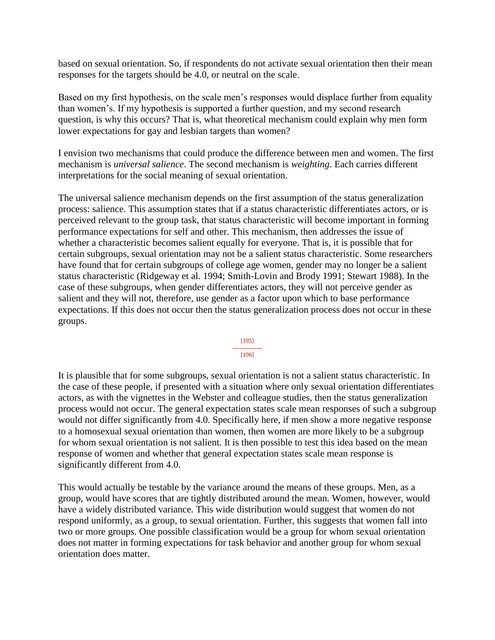based on sexual orientation. So, if respondents do not activate sexual orientation then their mean responses for the targets should be 4.0, or neutral on the scale.

Based on my first hypothesis, on the scale men's responses would displace further from equality than women's. If my hypothesis is supported a further question, and my second research question, is why this occurs? That is, what theoretical mechanism could explain why men form lower expectations for gay and lesbian targets than women?

I envision two mechanisms that could produce the difference between men and women. The first mechanism is *universal salience*. The second mechanism is *weighting*. Each carries different interpretations for the social meaning of sexual orientation.

The universal salience mechanism depends on the first assumption of the status generalization process: salience. This assumption states that if a status characteristic differentiates actors, or is perceived relevant to the group task, that status characteristic will become important in forming performance expectations for self and other. This mechanism, then addresses the issue of whether a characteristic becomes salient equally for everyone. That is, it is possible that for certain subgroups, sexual orientation may not be a salient status characteristic. Some researchers have found that for certain subgroups of college age women, gender may no longer be a salient status characteristic (Ridgeway et al. 1994; Smith-Lovin and Brody 1991; Stewart 1988). In the case of these subgroups, when gender differentiates actors, they will not perceive gender as salient and they will not, therefore, use gender as a factor upon which to base performance expectations. If this does not occur then the status generalization process does not occur in these groups.

[195] --------------- [196]

It is plausible that for some subgroups, sexual orientation is not a salient status characteristic. In the case of these people, if presented with a situation where only sexual orientation differentiates actors, as with the vignettes in the Webster and colleague studies, then the status generalization process would not occur. The general expectation states scale mean responses of such a subgroup would not differ significantly from 4.0. Specifically here, if men show a more negative response to a homosexual sexual orientation than women, then women are more likely to be a subgroup for whom sexual orientation is not salient. It is then possible to test this idea based on the mean response of women and whether that general expectation states scale mean response is significantly different from 4.0.

This would actually be testable by the variance around the means of these groups. Men, as a group, would have scores that are tightly distributed around the mean. Women, however, would have a widely distributed variance. This wide distribution would suggest that women do not respond uniformly, as a group, to sexual orientation. Further, this suggests that women fall into two or more groups. One possible classification would be a group for whom sexual orientation does not matter in forming expectations for task behavior and another group for whom sexual orientation does matter.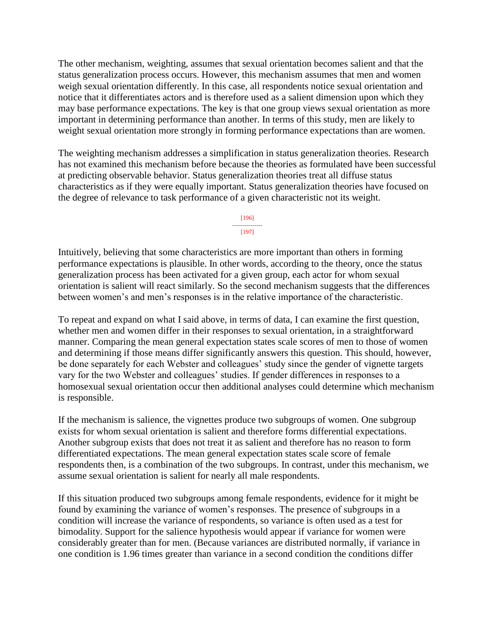The other mechanism, weighting, assumes that sexual orientation becomes salient and that the status generalization process occurs. However, this mechanism assumes that men and women weigh sexual orientation differently. In this case, all respondents notice sexual orientation and notice that it differentiates actors and is therefore used as a salient dimension upon which they may base performance expectations. The key is that one group views sexual orientation as more important in determining performance than another. In terms of this study, men are likely to weight sexual orientation more strongly in forming performance expectations than are women.

The weighting mechanism addresses a simplification in status generalization theories. Research has not examined this mechanism before because the theories as formulated have been successful at predicting observable behavior. Status generalization theories treat all diffuse status characteristics as if they were equally important. Status generalization theories have focused on the degree of relevance to task performance of a given characteristic not its weight.

> [196] --------------- [197]

Intuitively, believing that some characteristics are more important than others in forming performance expectations is plausible. In other words, according to the theory, once the status generalization process has been activated for a given group, each actor for whom sexual orientation is salient will react similarly. So the second mechanism suggests that the differences between women's and men's responses is in the relative importance of the characteristic.

To repeat and expand on what I said above, in terms of data, I can examine the first question, whether men and women differ in their responses to sexual orientation, in a straightforward manner. Comparing the mean general expectation states scale scores of men to those of women and determining if those means differ significantly answers this question. This should, however, be done separately for each Webster and colleagues' study since the gender of vignette targets vary for the two Webster and colleagues' studies. If gender differences in responses to a homosexual sexual orientation occur then additional analyses could determine which mechanism is responsible.

If the mechanism is salience, the vignettes produce two subgroups of women. One subgroup exists for whom sexual orientation is salient and therefore forms differential expectations. Another subgroup exists that does not treat it as salient and therefore has no reason to form differentiated expectations. The mean general expectation states scale score of female respondents then, is a combination of the two subgroups. In contrast, under this mechanism, we assume sexual orientation is salient for nearly all male respondents.

If this situation produced two subgroups among female respondents, evidence for it might be found by examining the variance of women's responses. The presence of subgroups in a condition will increase the variance of respondents, so variance is often used as a test for bimodality. Support for the salience hypothesis would appear if variance for women were considerably greater than for men. (Because variances are distributed normally, if variance in one condition is 1.96 times greater than variance in a second condition the conditions differ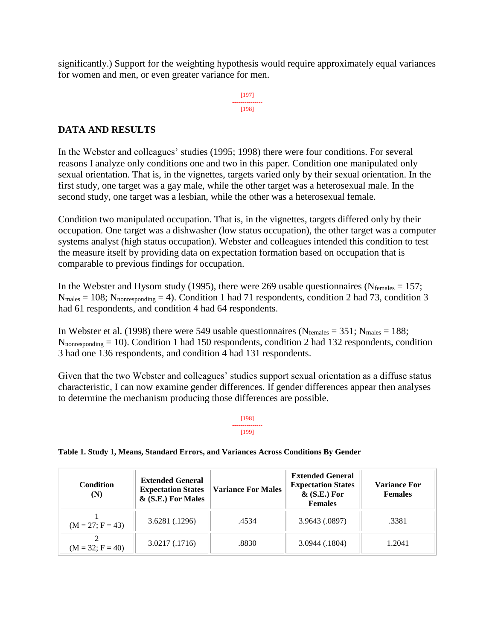significantly.) Support for the weighting hypothesis would require approximately equal variances for women and men, or even greater variance for men.

> [197] --------------- [198]

### **DATA AND RESULTS**

In the Webster and colleagues' studies (1995; 1998) there were four conditions. For several reasons I analyze only conditions one and two in this paper. Condition one manipulated only sexual orientation. That is, in the vignettes, targets varied only by their sexual orientation. In the first study, one target was a gay male, while the other target was a heterosexual male. In the second study, one target was a lesbian, while the other was a heterosexual female.

Condition two manipulated occupation. That is, in the vignettes, targets differed only by their occupation. One target was a dishwasher (low status occupation), the other target was a computer systems analyst (high status occupation). Webster and colleagues intended this condition to test the measure itself by providing data on expectation formation based on occupation that is comparable to previous findings for occupation.

In the Webster and Hysom study (1995), there were 269 usable questionnaires ( $N_{\text{females}} = 157$ ;  $N_{\text{males}} = 108$ ;  $N_{\text{nonresponding}} = 4$ ). Condition 1 had 71 respondents, condition 2 had 73, condition 3 had 61 respondents, and condition 4 had 64 respondents.

In Webster et al. (1998) there were 549 usable questionnaires ( $N_{\text{females}} = 351$ ;  $N_{\text{males}} = 188$ ; Nnonresponding = 10). Condition 1 had 150 respondents, condition 2 had 132 respondents, condition 3 had one 136 respondents, and condition 4 had 131 respondents.

Given that the two Webster and colleagues' studies support sexual orientation as a diffuse status characteristic, I can now examine gender differences. If gender differences appear then analyses to determine the mechanism producing those differences are possible.

#### [198] --------------- [199]

### **Table 1. Study 1, Means, Standard Errors, and Variances Across Conditions By Gender**

| <b>Condition</b><br>(N) | <b>Extended General</b><br><b>Expectation States</b><br>& (S.E.) For Males | <b>Variance For Males</b> | <b>Extended General</b><br><b>Expectation States</b><br>$\&$ (S.E.) For<br><b>Females</b> | <b>Variance For</b><br><b>Females</b> |
|-------------------------|----------------------------------------------------------------------------|---------------------------|-------------------------------------------------------------------------------------------|---------------------------------------|
| $(M = 27; F = 43)$      | 3.6281 (.1296)                                                             | .4534                     | 3.9643 (.0897)                                                                            | .3381                                 |
| $(M = 32; F = 40)$      | 3.0217 (.1716)                                                             | .8830                     | 3.0944(.1804)                                                                             | 1.2041                                |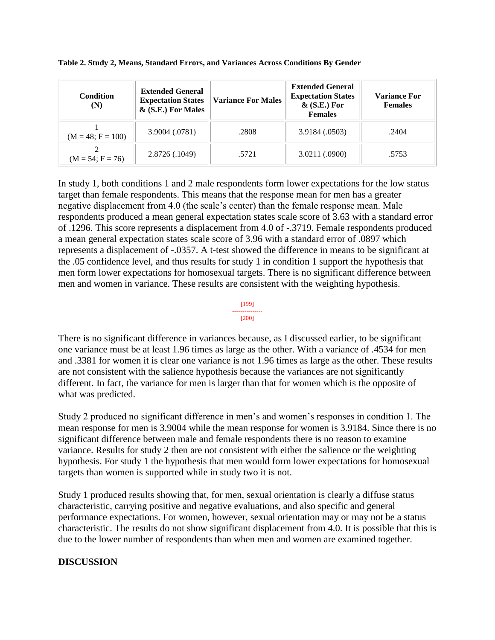| <b>Condition</b><br>(N) | <b>Extended General</b><br><b>Expectation States</b><br>& (S.E.) For Males | <b>Variance For Males</b> | <b>Extended General</b><br><b>Expectation States</b><br>$\&$ (S.E.) For<br><b>Females</b> | <b>Variance For</b><br><b>Females</b> |
|-------------------------|----------------------------------------------------------------------------|---------------------------|-------------------------------------------------------------------------------------------|---------------------------------------|
| $(M = 48; F = 100)$     | 3.9004 (.0781)                                                             | .2808                     | 3.9184 (.0503)                                                                            | .2404                                 |
| $(M = 54; F = 76)$      | 2.8726 (.1049)                                                             | .5721                     | 3.0211 (.0900)                                                                            | .5753                                 |

**Table 2. Study 2, Means, Standard Errors, and Variances Across Conditions By Gender**

In study 1, both conditions 1 and 2 male respondents form lower expectations for the low status target than female respondents. This means that the response mean for men has a greater negative displacement from 4.0 (the scale's center) than the female response mean. Male respondents produced a mean general expectation states scale score of 3.63 with a standard error of .1296. This score represents a displacement from 4.0 of -.3719. Female respondents produced a mean general expectation states scale score of 3.96 with a standard error of .0897 which represents a displacement of -.0357. A t-test showed the difference in means to be significant at the .05 confidence level, and thus results for study 1 in condition 1 support the hypothesis that men form lower expectations for homosexual targets. There is no significant difference between men and women in variance. These results are consistent with the weighting hypothesis.

#### [199] --------------- [200]

There is no significant difference in variances because, as I discussed earlier, to be significant one variance must be at least 1.96 times as large as the other. With a variance of .4534 for men and .3381 for women it is clear one variance is not 1.96 times as large as the other. These results are not consistent with the salience hypothesis because the variances are not significantly different. In fact, the variance for men is larger than that for women which is the opposite of what was predicted.

Study 2 produced no significant difference in men's and women's responses in condition 1. The mean response for men is 3.9004 while the mean response for women is 3.9184. Since there is no significant difference between male and female respondents there is no reason to examine variance. Results for study 2 then are not consistent with either the salience or the weighting hypothesis. For study 1 the hypothesis that men would form lower expectations for homosexual targets than women is supported while in study two it is not.

Study 1 produced results showing that, for men, sexual orientation is clearly a diffuse status characteristic, carrying positive and negative evaluations, and also specific and general performance expectations. For women, however, sexual orientation may or may not be a status characteristic. The results do not show significant displacement from 4.0. It is possible that this is due to the lower number of respondents than when men and women are examined together.

### **DISCUSSION**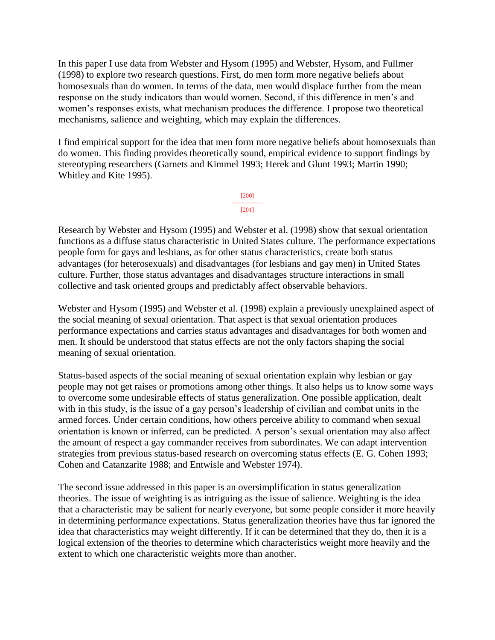In this paper I use data from Webster and Hysom (1995) and Webster, Hysom, and Fullmer (1998) to explore two research questions. First, do men form more negative beliefs about homosexuals than do women. In terms of the data, men would displace further from the mean response on the study indicators than would women. Second, if this difference in men's and women's responses exists, what mechanism produces the difference. I propose two theoretical mechanisms, salience and weighting, which may explain the differences.

I find empirical support for the idea that men form more negative beliefs about homosexuals than do women. This finding provides theoretically sound, empirical evidence to support findings by stereotyping researchers (Garnets and Kimmel 1993; Herek and Glunt 1993; Martin 1990; Whitley and Kite 1995).



Research by Webster and Hysom (1995) and Webster et al. (1998) show that sexual orientation functions as a diffuse status characteristic in United States culture. The performance expectations people form for gays and lesbians, as for other status characteristics, create both status advantages (for heterosexuals) and disadvantages (for lesbians and gay men) in United States culture. Further, those status advantages and disadvantages structure interactions in small collective and task oriented groups and predictably affect observable behaviors.

Webster and Hysom (1995) and Webster et al. (1998) explain a previously unexplained aspect of the social meaning of sexual orientation. That aspect is that sexual orientation produces performance expectations and carries status advantages and disadvantages for both women and men. It should be understood that status effects are not the only factors shaping the social meaning of sexual orientation.

Status-based aspects of the social meaning of sexual orientation explain why lesbian or gay people may not get raises or promotions among other things. It also helps us to know some ways to overcome some undesirable effects of status generalization. One possible application, dealt with in this study, is the issue of a gay person's leadership of civilian and combat units in the armed forces. Under certain conditions, how others perceive ability to command when sexual orientation is known or inferred, can be predicted. A person's sexual orientation may also affect the amount of respect a gay commander receives from subordinates. We can adapt intervention strategies from previous status-based research on overcoming status effects (E. G. Cohen 1993; Cohen and Catanzarite 1988; and Entwisle and Webster 1974).

The second issue addressed in this paper is an oversimplification in status generalization theories. The issue of weighting is as intriguing as the issue of salience. Weighting is the idea that a characteristic may be salient for nearly everyone, but some people consider it more heavily in determining performance expectations. Status generalization theories have thus far ignored the idea that characteristics may weight differently. If it can be determined that they do, then it is a logical extension of the theories to determine which characteristics weight more heavily and the extent to which one characteristic weights more than another.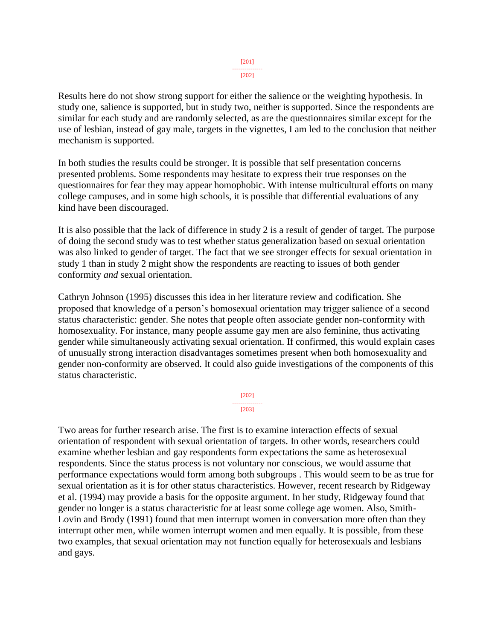#### [201] ---------------  $[202]$

Results here do not show strong support for either the salience or the weighting hypothesis. In study one, salience is supported, but in study two, neither is supported. Since the respondents are similar for each study and are randomly selected, as are the questionnaires similar except for the use of lesbian, instead of gay male, targets in the vignettes, I am led to the conclusion that neither mechanism is supported.

In both studies the results could be stronger. It is possible that self presentation concerns presented problems. Some respondents may hesitate to express their true responses on the questionnaires for fear they may appear homophobic. With intense multicultural efforts on many college campuses, and in some high schools, it is possible that differential evaluations of any kind have been discouraged.

It is also possible that the lack of difference in study 2 is a result of gender of target. The purpose of doing the second study was to test whether status generalization based on sexual orientation was also linked to gender of target. The fact that we see stronger effects for sexual orientation in study 1 than in study 2 might show the respondents are reacting to issues of both gender conformity *and* sexual orientation.

Cathryn Johnson (1995) discusses this idea in her literature review and codification. She proposed that knowledge of a person's homosexual orientation may trigger salience of a second status characteristic: gender. She notes that people often associate gender non-conformity with homosexuality. For instance, many people assume gay men are also feminine, thus activating gender while simultaneously activating sexual orientation. If confirmed, this would explain cases of unusually strong interaction disadvantages sometimes present when both homosexuality and gender non-conformity are observed. It could also guide investigations of the components of this status characteristic.

> [202] --------------- [203]

Two areas for further research arise. The first is to examine interaction effects of sexual orientation of respondent with sexual orientation of targets. In other words, researchers could examine whether lesbian and gay respondents form expectations the same as heterosexual respondents. Since the status process is not voluntary nor conscious, we would assume that performance expectations would form among both subgroups . This would seem to be as true for sexual orientation as it is for other status characteristics. However, recent research by Ridgeway et al. (1994) may provide a basis for the opposite argument. In her study, Ridgeway found that gender no longer is a status characteristic for at least some college age women. Also, Smith-Lovin and Brody (1991) found that men interrupt women in conversation more often than they interrupt other men, while women interrupt women and men equally. It is possible, from these two examples, that sexual orientation may not function equally for heterosexuals and lesbians and gays.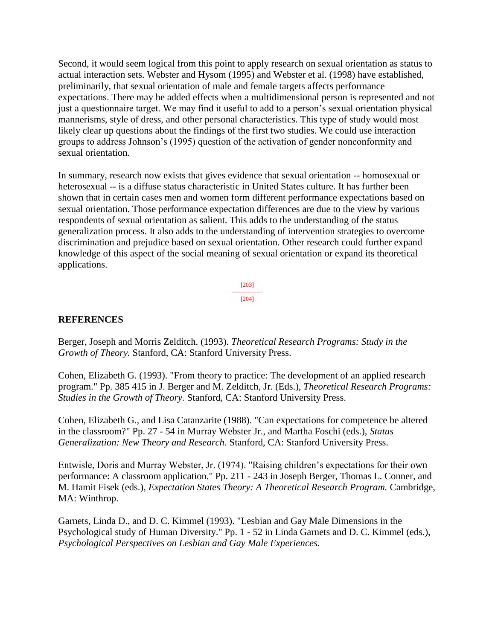Second, it would seem logical from this point to apply research on sexual orientation as status to actual interaction sets. Webster and Hysom (1995) and Webster et al. (1998) have established, preliminarily, that sexual orientation of male and female targets affects performance expectations. There may be added effects when a multidimensional person is represented and not just a questionnaire target. We may find it useful to add to a person's sexual orientation physical mannerisms, style of dress, and other personal characteristics. This type of study would most likely clear up questions about the findings of the first two studies. We could use interaction groups to address Johnson's (1995) question of the activation of gender nonconformity and sexual orientation.

In summary, research now exists that gives evidence that sexual orientation -- homosexual or heterosexual -- is a diffuse status characteristic in United States culture. It has further been shown that in certain cases men and women form different performance expectations based on sexual orientation. Those performance expectation differences are due to the view by various respondents of sexual orientation as salient. This adds to the understanding of the status generalization process. It also adds to the understanding of intervention strategies to overcome discrimination and prejudice based on sexual orientation. Other research could further expand knowledge of this aspect of the social meaning of sexual orientation or expand its theoretical applications.

> [203] --------------- [204]

### **REFERENCES**

Berger, Joseph and Morris Zelditch. (1993). *Theoretical Research Programs: Study in the Growth of Theory.* Stanford, CA: Stanford University Press.

Cohen, Elizabeth G. (1993). "From theory to practice: The development of an applied research program." Pp. 385 415 in J. Berger and M. Zelditch, Jr. (Eds.), *Theoretical Research Programs: Studies in the Growth of Theory.* Stanford, CA: Stanford University Press.

Cohen, Elizabeth G., and Lisa Catanzarite (1988). "Can expectations for competence be altered in the classroom?" Pp. 27 - 54 in Murray Webster Jr., and Martha Foschi (eds.), *Status Generalization: New Theory and Research*. Stanford, CA: Stanford University Press.

Entwisle, Doris and Murray Webster, Jr. (1974). "Raising children's expectations for their own performance: A classroom application." Pp. 211 - 243 in Joseph Berger, Thomas L. Conner, and M. Hamit Fisek (eds.), *Expectation States Theory: A Theoretical Research Program.* Cambridge, MA: Winthrop.

Garnets, Linda D., and D. C. Kimmel (1993). "Lesbian and Gay Male Dimensions in the Psychological study of Human Diversity." Pp. 1 - 52 in Linda Garnets and D. C. Kimmel (eds.), *Psychological Perspectives on Lesbian and Gay Male Experiences.*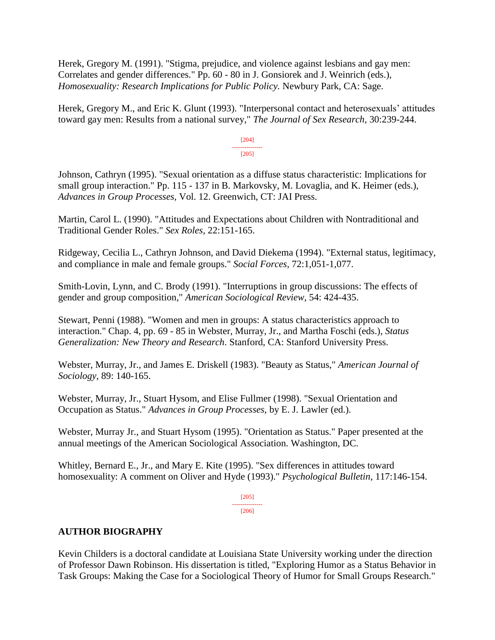Herek, Gregory M. (1991). "Stigma, prejudice, and violence against lesbians and gay men: Correlates and gender differences." Pp. 60 - 80 in J. Gonsiorek and J. Weinrich (eds.), *Homosexuality: Research Implications for Public Policy.* Newbury Park, CA: Sage.

Herek, Gregory M., and Eric K. Glunt (1993). "Interpersonal contact and heterosexuals' attitudes toward gay men: Results from a national survey," *The Journal of Sex Research,* 30:239-244.

> [204] --------------- [205]

Johnson, Cathryn (1995). "Sexual orientation as a diffuse status characteristic: Implications for small group interaction." Pp. 115 - 137 in B. Markovsky, M. Lovaglia, and K. Heimer (eds.), *Advances in Group Processes,* Vol. 12. Greenwich, CT: JAI Press.

Martin, Carol L. (1990). "Attitudes and Expectations about Children with Nontraditional and Traditional Gender Roles." *Sex Roles,* 22:151-165.

Ridgeway, Cecilia L., Cathryn Johnson, and David Diekema (1994). "External status, legitimacy, and compliance in male and female groups." *Social Forces,* 72:1,051-1,077.

Smith-Lovin, Lynn, and C. Brody (1991). "Interruptions in group discussions: The effects of gender and group composition," *American Sociological Review*, 54: 424-435.

Stewart, Penni (1988). "Women and men in groups: A status characteristics approach to interaction." Chap. 4, pp. 69 - 85 in Webster, Murray, Jr., and Martha Foschi (eds.), *Status Generalization: New Theory and Research*. Stanford, CA: Stanford University Press.

Webster, Murray, Jr., and James E. Driskell (1983). "Beauty as Status," *American Journal of Sociology,* 89: 140-165.

Webster, Murray, Jr., Stuart Hysom, and Elise Fullmer (1998). "Sexual Orientation and Occupation as Status." *Advances in Group Processes,* by E. J. Lawler (ed.).

Webster, Murray Jr., and Stuart Hysom (1995). "Orientation as Status." Paper presented at the annual meetings of the American Sociological Association. Washington, DC.

Whitley, Bernard E., Jr., and Mary E. Kite (1995). "Sex differences in attitudes toward homosexuality: A comment on Oliver and Hyde (1993)." *Psychological Bulletin*, 117:146-154.

> [205] --------------- [206]

### **AUTHOR BIOGRAPHY**

Kevin Childers is a doctoral candidate at Louisiana State University working under the direction of Professor Dawn Robinson. His dissertation is titled, "Exploring Humor as a Status Behavior in Task Groups: Making the Case for a Sociological Theory of Humor for Small Groups Research."